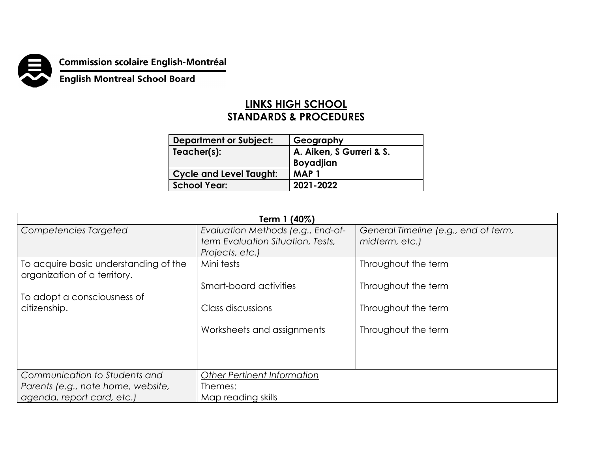

**Commission scolaire English-Montréal<br>English Montreal School Board** 

## **LINKS HIGH SCHOOL STANDARDS & PROCEDURES**

| <b>Department or Subject:</b>  | Geography                                    |
|--------------------------------|----------------------------------------------|
| Teacher(s):                    | A. Aiken, S Gurreri & S.<br><b>Boyadjian</b> |
| <b>Cycle and Level Taught:</b> | MAP 1                                        |
| <b>School Year:</b>            | 2021-2022                                    |

| Term 1 (40%)                                                          |                                    |                                      |  |  |
|-----------------------------------------------------------------------|------------------------------------|--------------------------------------|--|--|
| Competencies Targeted                                                 | Evaluation Methods (e.g., End-of-  | General Timeline (e.g., end of term, |  |  |
|                                                                       | term Evaluation Situation, Tests,  | midterm, etc.)                       |  |  |
|                                                                       | Projects, etc.)                    |                                      |  |  |
| To acquire basic understanding of the<br>organization of a territory. | Mini tests                         | Throughout the term                  |  |  |
|                                                                       | Smart-board activities             | Throughout the term                  |  |  |
| To adopt a consciousness of                                           |                                    |                                      |  |  |
| citizenship.                                                          | Class discussions                  | Throughout the term                  |  |  |
|                                                                       |                                    |                                      |  |  |
|                                                                       | Worksheets and assignments         | Throughout the term                  |  |  |
|                                                                       |                                    |                                      |  |  |
|                                                                       |                                    |                                      |  |  |
|                                                                       |                                    |                                      |  |  |
| Communication to Students and                                         | <b>Other Pertinent Information</b> |                                      |  |  |
| Parents (e.g., note home, website,                                    | Themes:                            |                                      |  |  |
| agenda, report card, etc.)                                            | Map reading skills                 |                                      |  |  |